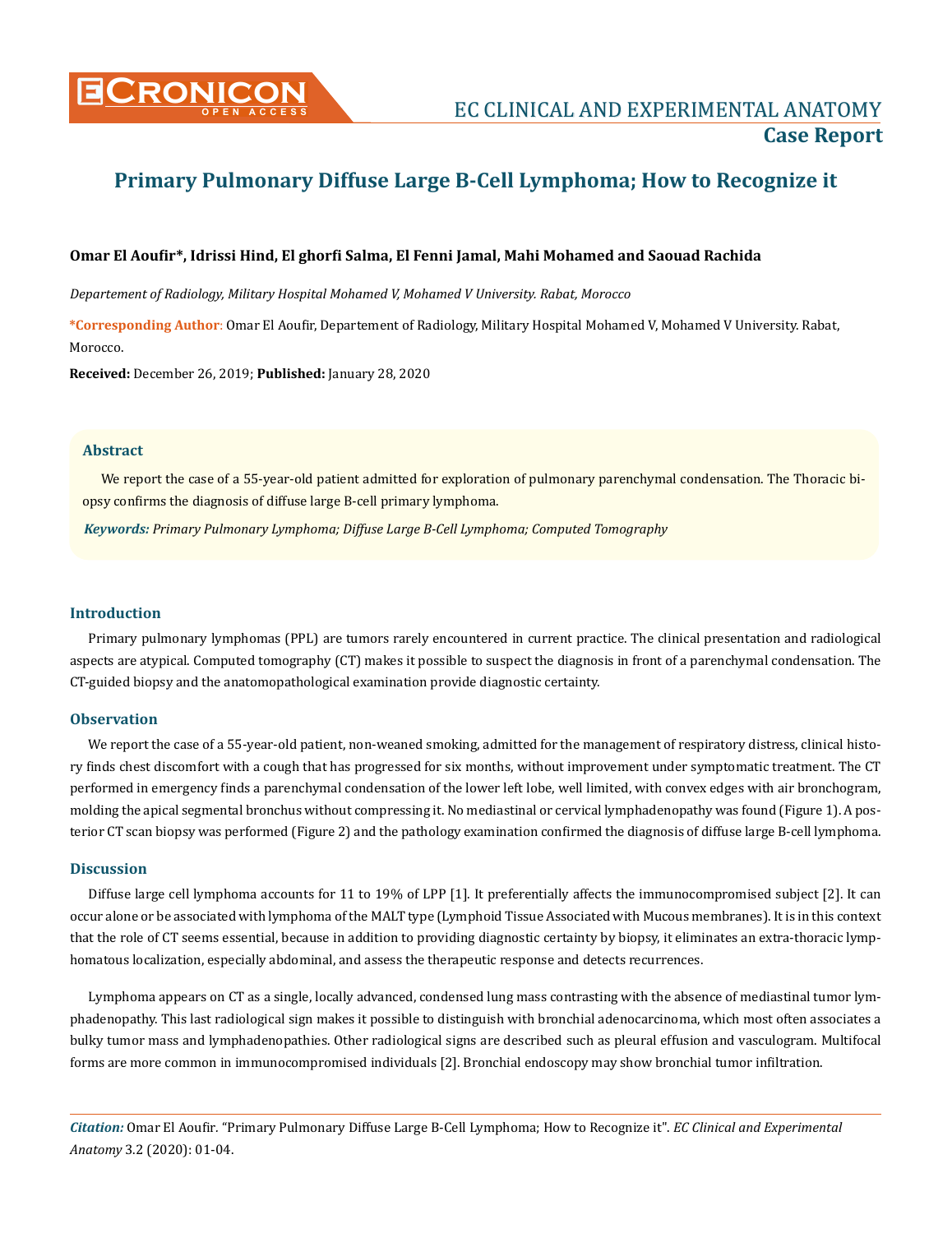

# **Primary Pulmonary Diffuse Large B-Cell Lymphoma; How to Recognize it**

# **Omar El Aoufir\*, Idrissi Hind, El ghorfi Salma, El Fenni Jamal, Mahi Mohamed and Saouad Rachida**

*Departement of Radiology, Military Hospital Mohamed V, Mohamed V University. Rabat, Morocco*

**\*Corresponding Author**: Omar El Aoufir, Departement of Radiology, Military Hospital Mohamed V, Mohamed V University. Rabat, Morocco.

**Received:** December 26, 2019; **Published:** January 28, 2020

#### **Abstract**

We report the case of a 55-year-old patient admitted for exploration of pulmonary parenchymal condensation. The Thoracic biopsy confirms the diagnosis of diffuse large B-cell primary lymphoma.

*Keywords: Primary Pulmonary Lymphoma; Diffuse Large B-Cell Lymphoma; Computed Tomography*

#### **Introduction**

Primary pulmonary lymphomas (PPL) are tumors rarely encountered in current practice. The clinical presentation and radiological aspects are atypical. Computed tomography (CT) makes it possible to suspect the diagnosis in front of a parenchymal condensation. The CT-guided biopsy and the anatomopathological examination provide diagnostic certainty.

## **Observation**

We report the case of a 55-year-old patient, non-weaned smoking, admitted for the management of respiratory distress, clinical history finds chest discomfort with a cough that has progressed for six months, without improvement under symptomatic treatment. The CT performed in emergency finds a parenchymal condensation of the lower left lobe, well limited, with convex edges with air bronchogram, molding the apical segmental bronchus without compressing it. No mediastinal or cervical lymphadenopathy was found (Figure 1). A posterior CT scan biopsy was performed (Figure 2) and the pathology examination confirmed the diagnosis of diffuse large B-cell lymphoma.

#### **Discussion**

Diffuse large cell lymphoma accounts for 11 to 19% of LPP [1]. It preferentially affects the immunocompromised subject [2]. It can occur alone or be associated with lymphoma of the MALT type (Lymphoid Tissue Associated with Mucous membranes). It is in this context that the role of CT seems essential, because in addition to providing diagnostic certainty by biopsy, it eliminates an extra-thoracic lymphomatous localization, especially abdominal, and assess the therapeutic response and detects recurrences.

Lymphoma appears on CT as a single, locally advanced, condensed lung mass contrasting with the absence of mediastinal tumor lymphadenopathy. This last radiological sign makes it possible to distinguish with bronchial adenocarcinoma, which most often associates a bulky tumor mass and lymphadenopathies. Other radiological signs are described such as pleural effusion and vasculogram. Multifocal forms are more common in immunocompromised individuals [2]. Bronchial endoscopy may show bronchial tumor infiltration.

*Citation:* Omar El Aoufir*.* "Primary Pulmonary Diffuse Large B-Cell Lymphoma; How to Recognize it". *EC Clinical and Experimental Anatomy* 3.2 (2020): 01-04.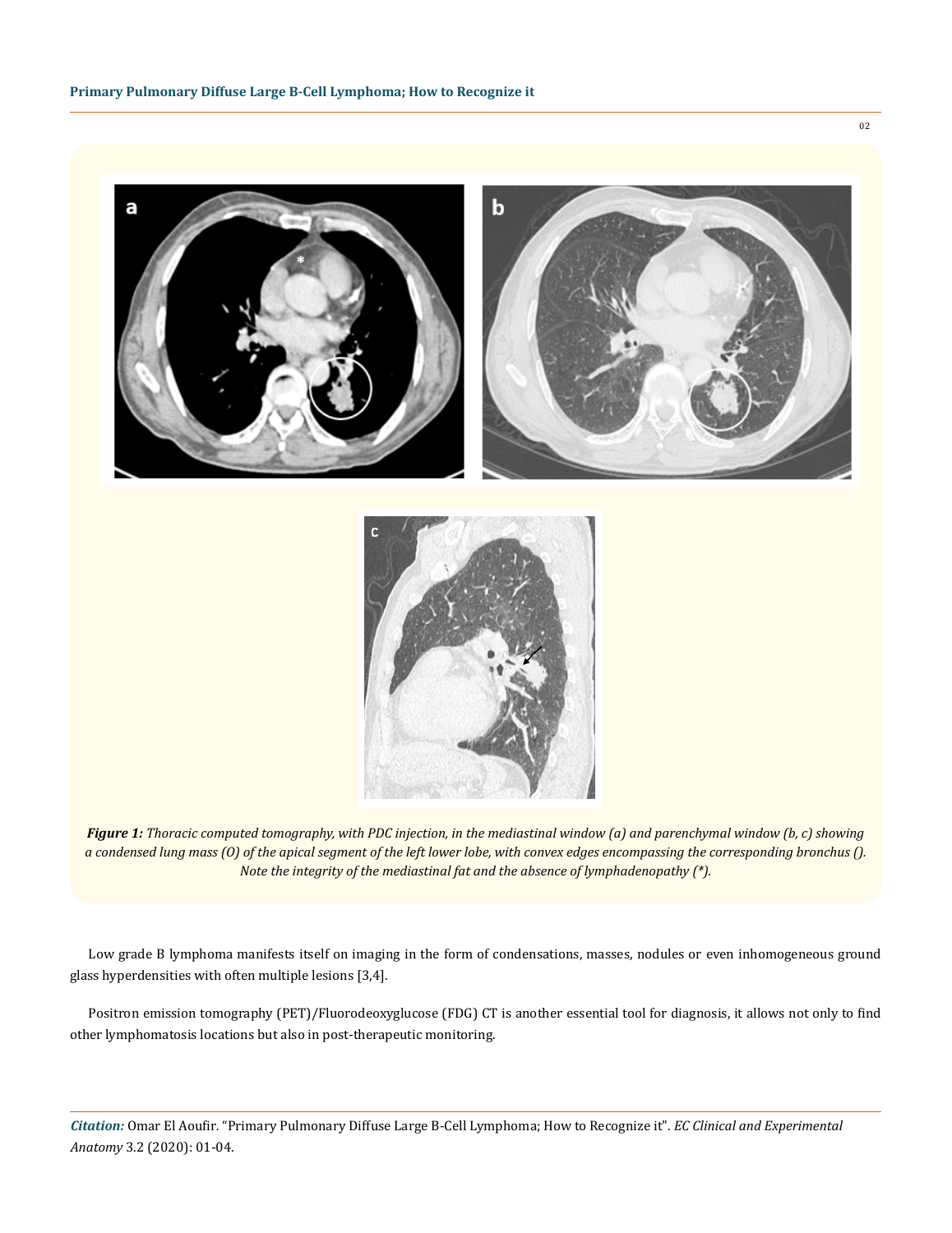

*Figure 1: Thoracic computed tomography, with PDC injection, in the mediastinal window (a) and parenchymal window (b, c) showing a condensed lung mass (O) of the apical segment of the left lower lobe, with convex edges encompassing the corresponding bronchus (). Note the integrity of the mediastinal fat and the absence of lymphadenopathy (\*).*

Low grade B lymphoma manifests itself on imaging in the form of condensations, masses, nodules or even inhomogeneous ground glass hyperdensities with often multiple lesions [3,4].

Positron emission tomography (PET)/Fluorodeoxyglucose (FDG) CT is another essential tool for diagnosis, it allows not only to find other lymphomatosis locations but also in post-therapeutic monitoring.

*Citation:* Omar El Aoufir*.* "Primary Pulmonary Diffuse Large B-Cell Lymphoma; How to Recognize it". *EC Clinical and Experimental Anatomy* 3.2 (2020): 01-04.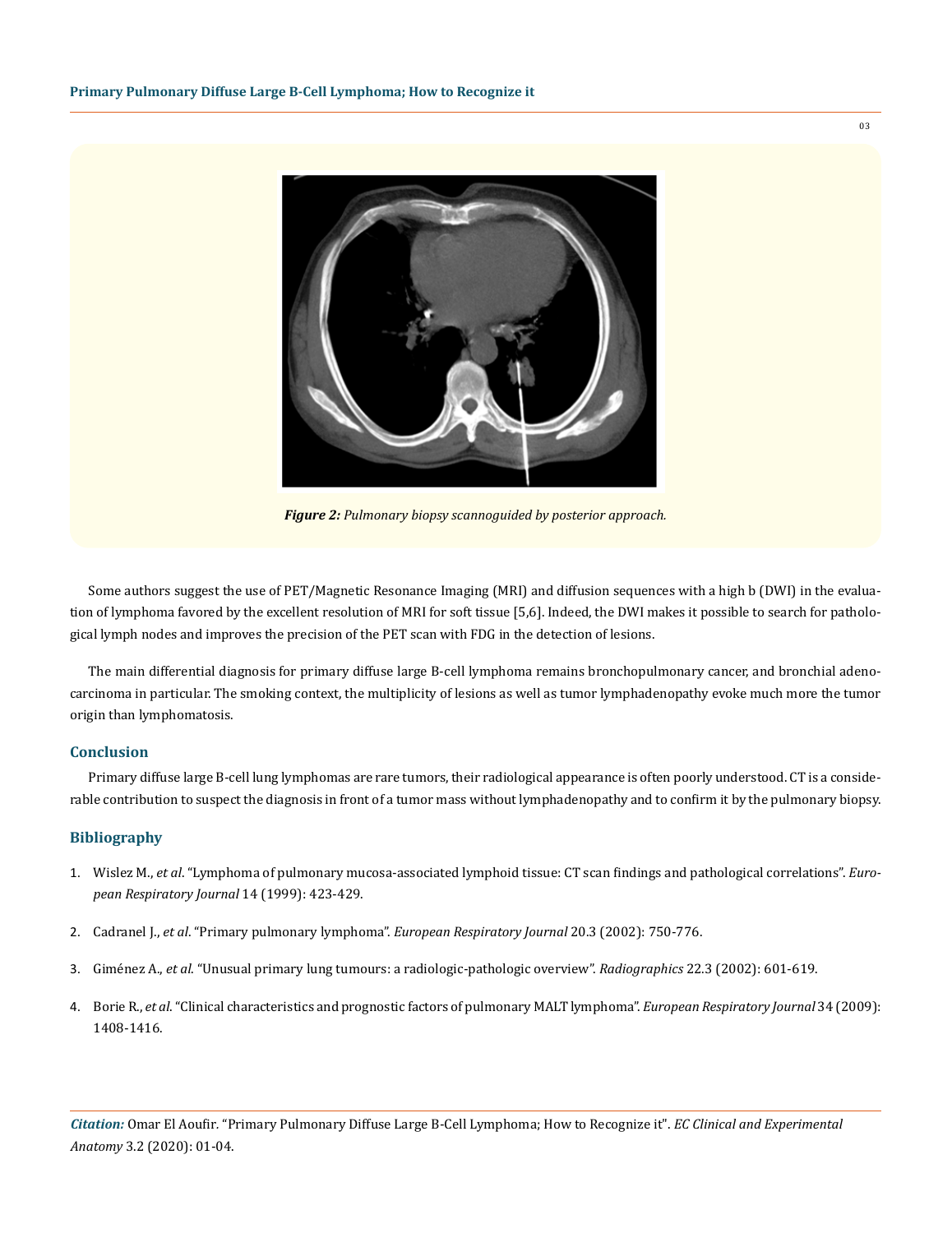

*Figure 2: Pulmonary biopsy scannoguided by posterior approach.*

Some authors suggest the use of PET/Magnetic Resonance Imaging (MRI) and diffusion sequences with a high b (DWI) in the evaluation of lymphoma favored by the excellent resolution of MRI for soft tissue [5,6]. Indeed, the DWI makes it possible to search for pathological lymph nodes and improves the precision of the PET scan with FDG in the detection of lesions.

The main differential diagnosis for primary diffuse large B-cell lymphoma remains bronchopulmonary cancer, and bronchial adenocarcinoma in particular. The smoking context, the multiplicity of lesions as well as tumor lymphadenopathy evoke much more the tumor origin than lymphomatosis.

### **Conclusion**

Primary diffuse large B-cell lung lymphomas are rare tumors, their radiological appearance is often poorly understood. CT is a considerable contribution to suspect the diagnosis in front of a tumor mass without lymphadenopathy and to confirm it by the pulmonary biopsy.

## **Bibliography**

- 1. Wislez M., *et al*[. "Lymphoma of pulmonary mucosa-associated lymphoid tissue: CT scan findings and pathological correlations".](https://www.ncbi.nlm.nih.gov/pubmed/10515424) *Euro[pean Respiratory Journal](https://www.ncbi.nlm.nih.gov/pubmed/10515424)* 14 (1999): 423-429.
- 2. Cadranel J., *et al*. "Primary pulmonary lymphoma". *[European Respiratory Journal](https://www.ncbi.nlm.nih.gov/pubmed/12358356)* 20.3 (2002): 750-776.
- 3. Giménez A., *et al*[. "Unusual primary lung tumours: a radiologic-pathologic overview".](https://www.ncbi.nlm.nih.gov/pubmed/12006690) *Radiographics* 22.3 (2002): 601-619.
- 4. Borie R., *et al*[. "Clinical characteristics and prognostic factors of pulmonary MALT lymphoma".](https://www.ncbi.nlm.nih.gov/pubmed/19541720) *European Respiratory Journal* 34 (2009): [1408-1416.](https://www.ncbi.nlm.nih.gov/pubmed/19541720)

*Citation:* Omar El Aoufir*.* "Primary Pulmonary Diffuse Large B-Cell Lymphoma; How to Recognize it". *EC Clinical and Experimental Anatomy* 3.2 (2020): 01-04.

03